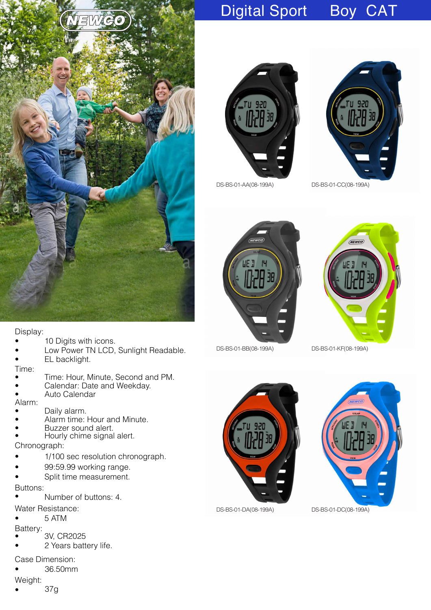

## Digital Sport Boy CAT





DS-BS-01-AA(08-199A) DS-BS-01-CC(08-199A)





DS-BS-01-BB(08-199A) DS-BS-01-KF(08-199A)





Low Power TN LCD, Sunlight Readable.

• Time: Hour, Minute, Second and PM.

• Calendar: Date and Weekday.

• Alarm time: Hour and Minute.

1/100 sec resolution chronograph.

Batte ry:

Buttons:

•

•

Time:

Alarm:

Chronograph:

• 3V, CR2025

Water Resistance: • 5 ATM

2 Years battery life.

• 10 Digits with icons.

EL backlight.

• Auto Calendar

Buzzer sound alert. • Hourly chime signal alert.

99:59.99 working range.

Split time measurement.

Number of buttons: 4.

Daily alarm.

- Case Dimension:
- 36.50mm
- Weight:
- 37g